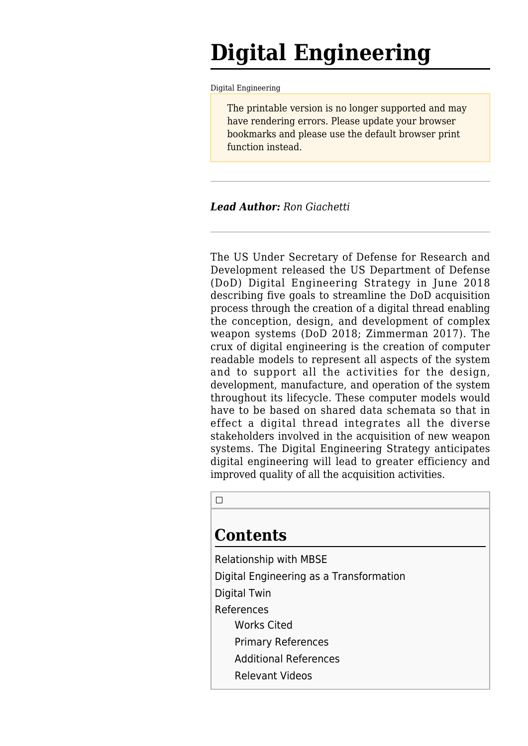# **Digital Engineering**

[Digital Engineering](http://www.sebokwiki.org/wiki/Digital_Engineering)

The printable version is no longer supported and may have rendering errors. Please update your browser bookmarks and please use the default browser print function instead.

#### *Lead Author: Ron Giachetti*

The US Under Secretary of Defense for Research and Development released the US Department of Defense (DoD) Digital Engineering Strategy in June 2018 describing five goals to streamline the DoD acquisition process through the creation of a digital thread enabling the conception, design, and development of complex weapon systems (DoD 2018; Zimmerman 2017). The crux of digital engineering is the creation of computer readable models to represent all aspects of the system and to support all the activities for the design, development, manufacture, and operation of the system throughout its lifecycle. These computer models would have to be based on shared data schemata so that in effect a digital thread integrates all the diverse stakeholders involved in the acquisition of new weapon systems. The Digital Engineering Strategy anticipates digital engineering will lead to greater efficiency and improved quality of all the acquisition activities.

 $\Box$ 

### **Contents**

[Relationship with MBSE](#page--1-0) [Digital Engineering as a Transformation](#page--1-0) [Digital Twin](#page--1-0) [References](#page--1-0) [Works Cited](#page--1-0) [Primary References](#page--1-0) [Additional References](#page--1-0) [Relevant Videos](#page--1-0)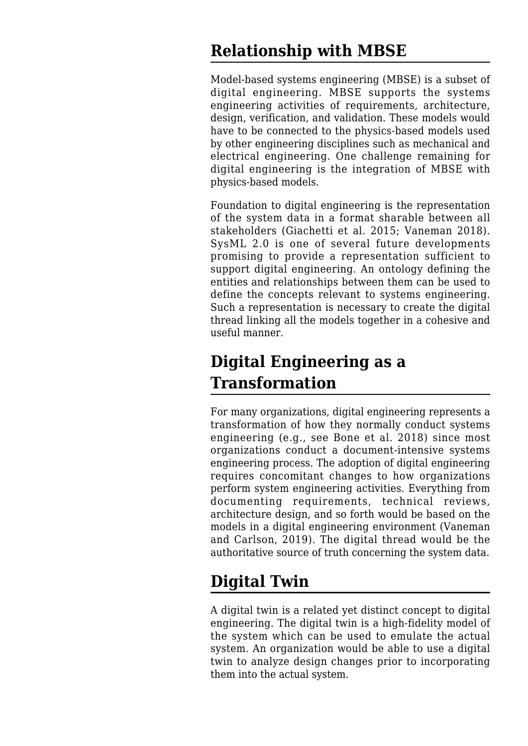### **Relationship with MBSE**

Model-based systems engineering (MBSE) is a subset of digital engineering. MBSE supports the systems engineering activities of requirements, architecture, design, verification, and validation. These models would have to be connected to the physics-based models used by other engineering disciplines such as mechanical and electrical engineering. One challenge remaining for digital engineering is the integration of MBSE with physics-based models.

Foundation to digital engineering is the representation of the system data in a format sharable between all stakeholders (Giachetti et al. 2015; Vaneman 2018). SysML 2.0 is one of several future developments promising to provide a representation sufficient to support digital engineering. An ontology defining the entities and relationships between them can be used to define the concepts relevant to systems engineering. Such a representation is necessary to create the digital thread linking all the models together in a cohesive and useful manner.

## **Digital Engineering as a Transformation**

For many organizations, digital engineering represents a transformation of how they normally conduct systems engineering (e.g., see Bone et al. 2018) since most organizations conduct a document-intensive systems engineering process. The adoption of digital engineering requires concomitant changes to how organizations perform system engineering activities. Everything from documenting requirements, technical reviews, architecture design, and so forth would be based on the models in a digital engineering environment (Vaneman and Carlson, 2019). The digital thread would be the authoritative source of truth concerning the system data.

### **Digital Twin**

A digital twin is a related yet distinct concept to digital engineering. The digital twin is a high-fidelity model of the system which can be used to emulate the actual system. An organization would be able to use a digital twin to analyze design changes prior to incorporating them into the actual system.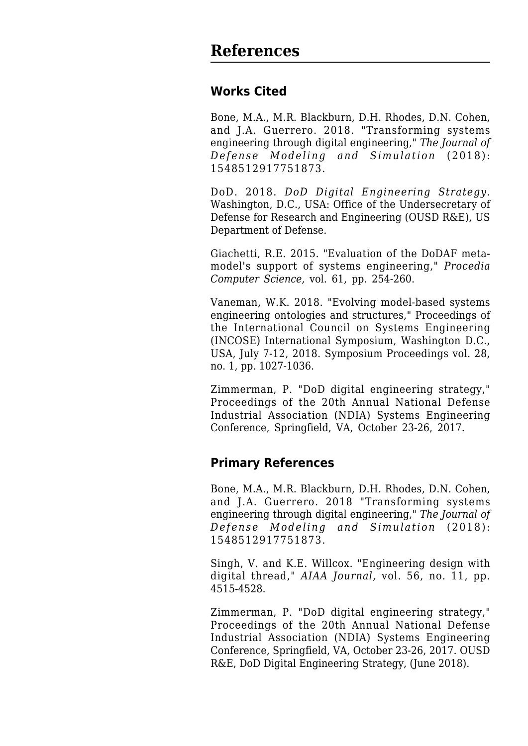#### **Works Cited**

Bone, M.A., M.R. Blackburn, D.H. Rhodes, D.N. Cohen, and J.A. Guerrero. 2018. "Transforming systems engineering through digital engineering," *The Journal of Defense Modeling and Simulation* (2018): 1548512917751873.

DoD. 2018. *DoD Digital Engineering Strategy.* Washington, D.C., USA: Office of the Undersecretary of Defense for Research and Engineering (OUSD R&E), US Department of Defense.

Giachetti, R.E. 2015. "Evaluation of the DoDAF metamodel's support of systems engineering," *Procedia Computer Science,* vol. 61, pp. 254-260.

Vaneman, W.K. 2018. "Evolving model-based systems engineering ontologies and structures," Proceedings of the International Council on Systems Engineering (INCOSE) International Symposium, Washington D.C., USA, July 7-12, 2018. Symposium Proceedings vol. 28, no. 1, pp. 1027-1036.

Zimmerman, P. "DoD digital engineering strategy," Proceedings of the 20th Annual National Defense Industrial Association (NDIA) Systems Engineering Conference, Springfield, VA, October 23-26, 2017.

#### **Primary References**

Bone, M.A., M.R. Blackburn, D.H. Rhodes, D.N. Cohen, and J.A. Guerrero. 2018 "[Transforming systems](http://www.sebokwiki.org/wiki/Transforming_systems_engineering_through_digital_engineering) [engineering through digital engineering,](http://www.sebokwiki.org/wiki/Transforming_systems_engineering_through_digital_engineering)" *The Journal of Defense Modeling and Simulation* (2018): 1548512917751873.

Singh, V. and K.E. Willcox. ["Engineering design with](http://www.sebokwiki.org/wiki/Engineering_Design_with_Digital_Thread) [digital thread,](http://www.sebokwiki.org/wiki/Engineering_Design_with_Digital_Thread)" *AIAA Journal,* vol. 56, no. 11, pp. 4515-4528.

Zimmerman, P. "[DoD digital engineering strategy,](http://www.sebokwiki.org/wiki/DoD_Digital_Engineering_Strategy)" Proceedings of the 20th Annual National Defense Industrial Association (NDIA) Systems Engineering Conference, Springfield, VA, October 23-26, 2017. OUSD R&E, DoD Digital Engineering Strategy, (June 2018).